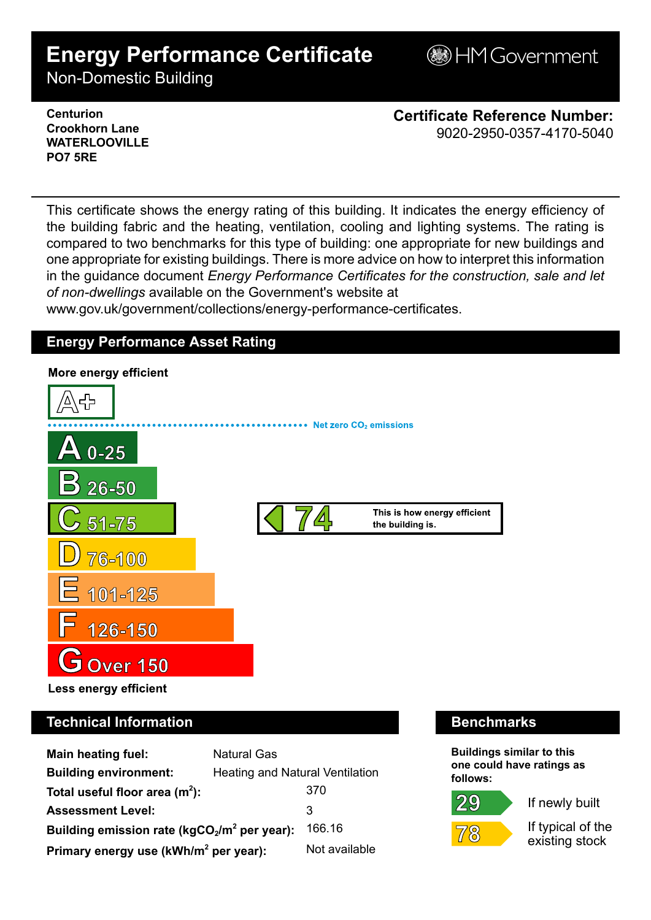# **Energy Performance Certificate**

**BHM Government** 

Non-Domestic Building

### **Centurion Crookhorn Lane WATERLOOVILLE PO7 5RE**

**Certificate Reference Number:** 9020-2950-0357-4170-5040

This certificate shows the energy rating of this building. It indicates the energy efficiency of the building fabric and the heating, ventilation, cooling and lighting systems. The rating is compared to two benchmarks for this type of building: one appropriate for new buildings and one appropriate for existing buildings. There is more advice on how to interpret this information in the guidance document *Energy Performance Certificates for the construction, sale and let of non-dwellings* available on the Government's website at

www.gov.uk/government/collections/energy-performance-certificates.

# **Energy Performance Asset Rating**



# **Technical Information Benchmarks**

| <b>Main heating fuel:</b>                         | <b>Natural Gas</b>              |               |
|---------------------------------------------------|---------------------------------|---------------|
| <b>Building environment:</b>                      | Heating and Natural Ventilation |               |
| Total useful floor area $(m^2)$ :                 |                                 | 370           |
| <b>Assessment Level:</b>                          |                                 | 3             |
| Building emission rate ( $kgCO2/m2$ per year):    |                                 | 166.16        |
| Primary energy use (kWh/m <sup>2</sup> per year): |                                 | Not available |

**Buildings similar to this one could have ratings as follows:**



 $\overline{7}8$ 



If newly built

If typical of the existing stock